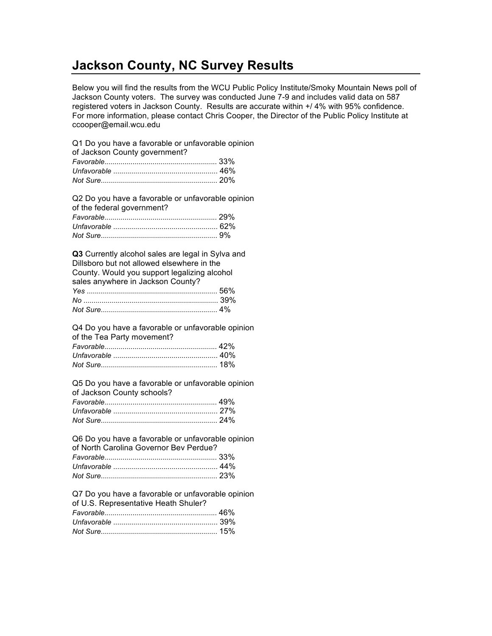## **Jackson County, NC Survey Results**

Below you will find the results from the WCU Public Policy Institute/Smoky Mountain News poll of Jackson County voters. The survey was conducted June 7-9 and includes valid data on 587 registered voters in Jackson County. Results are accurate within +/ 4% with 95% confidence. For more information, please contact Chris Cooper, the Director of the Public Policy Institute at ccooper@email.wcu.edu

Q1 Do you have a favorable or unfavorable opinion

| of Jackson County government? |  |
|-------------------------------|--|
|                               |  |
|                               |  |
|                               |  |

Q2 Do you have a favorable or unfavorable opinion of the federal government? *Favorable*........................................................ 29%

**Q3** Currently alcohol sales are legal in Sylva and Dillsboro but not allowed elsewhere in the County. Would you support legalizing alcohol sales anywhere in Jackson County? *Yes* ................................................................. 56% *No* ................................................................... 39% *Not Sure*.......................................................... 4%

Q4 Do you have a favorable or unfavorable opinion of the Tea Party movement? *Favorable*........................................................ 42% *Unfavorable* .................................................... 40%

Q5 Do you have a favorable or unfavorable opinion of Jackson County schools? *Favorable*........................................................ 49%

Q6 Do you have a favorable or unfavorable opinion of North Carolina Governor Bev Perdue? *Favorable*........................................................ 33% *Unfavorable* .................................................... 44% *Not Sure*.......................................................... 23%

Q7 Do you have a favorable or unfavorable opinion of U.S. Representative Heath Shuler?